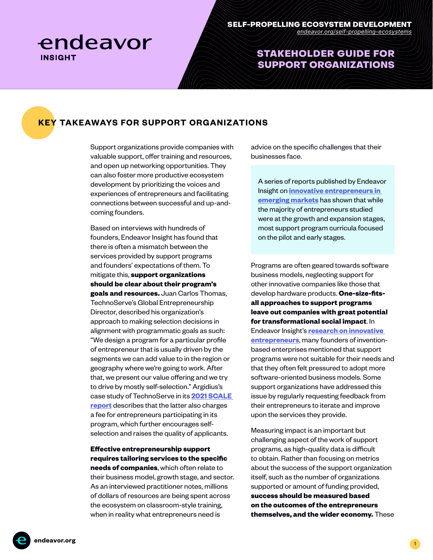

## STAKEHOLDER GUIDE FOR SUPPORT ORGANIZATIONS

### **KEY TAKEAWAYS FOR SUPPORT ORGANIZATIONS**

Support organizations provide companies with valuable support, offer training and resources, and open up networking opportunities. They can also foster more productive ecosystem development by prioritizing the voices and experiences of entrepreneurs and facilitating connections between successful and up-andcoming founders.

Based on interviews with hundreds of founders, Endeavor Insight has found that there is often a mismatch between the services provided by support programs and founders' expectations of them. To mitigate this, **support organizations should be clear about their program's goals and resources.** Juan Carlos Thomas, TechnoServe's Global Entrepreneurship Director, described his organization's approach to making selection decisions in alignment with programmatic goals as such: "We design a program for a particular profile of entrepreneur that is usually driven by the segments we can add value to in the region or geography where we're going to work. After that, we present our value offering and we try to drive by mostly self-selection." Argidius's case study of TechnoServe in its **[2021 SCALE](https://api.cofraholding.com/media/2612/report-fulfilling-the-potential-of-bds.pdf)  [report](https://api.cofraholding.com/media/2612/report-fulfilling-the-potential-of-bds.pdf)** describes that the latter also charges a fee for entrepreneurs participating in its program, which further encourages selfselection and raises the quality of applicants.

#### **Effective entrepreneurship support requires tailoring services to the specific**

**needs of companies**, which often relate to their business model, growth stage, and sector. As an interviewed practitioner notes, millions of dollars of resources are being spent across the ecosystem on classroom-style training, when in reality what entrepreneurs need is

advice on the specific challenges that their businesses face.

A series of reports published by Endeavor Insight on **[innovative entrepreneurs in](https://endeavor.org/innovation-report-series)  [emerging markets](https://endeavor.org/innovation-report-series)** has shown that while the majority of entrepreneurs studied were at the growth and expansion stages, most support program curricula focused on the pilot and early stages.

Programs are often geared towards software business models, neglecting support for other innovative companies like those that develop hardware products. **One-size-fitsall approaches to support programs leave out companies with great potential for transformational social impact**. In Endeavor Insight's **[research on innovative](https://endeavor.org/innovation-report-series)  [entrepreneurs](https://endeavor.org/innovation-report-series)**, many founders of inventionbased enterprises mentioned that support programs were not suitable for their needs and that they often felt pressured to adopt more software-oriented business models. Some support organizations have addressed this issue by regularly requesting feedback from their entrepreneurs to iterate and improve upon the services they provide.

Measuring impact is an important but challenging aspect of the work of support programs, as high-quality data is difficult to obtain. Rather than focusing on metrics about the success of the support organization itself, such as the number of organizations supported or amount of funding provided, **success should be measured based on the outcomes of the entrepreneurs themselves, and the wider economy.** These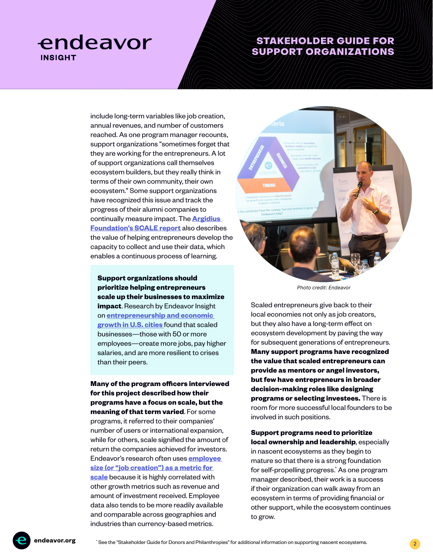# endeavor **INSIGHT**

## STAKEHOLDER GUIDE FOR SUPPORT ORGANIZATIONS

include long-term variables like job creation, annual revenues, and number of customers reached. As one program manager recounts, support organizations "sometimes forget that they are working for the entrepreneurs. A lot of support organizations call themselves ecosystem builders, but they really think in terms of their own community, their own ecosystem." Some support organizations have recognized this issue and track the progress of their alumni companies to continually measure impact. The **[Argidius](https://api.cofraholding.com/media/2612/report-fulfilling-the-potential-of-bds.pdf)  [Foundation's SCALE report](https://api.cofraholding.com/media/2612/report-fulfilling-the-potential-of-bds.pdf)** also describes the value of helping entrepreneurs develop the capacity to collect and use their data, which enables a continuous process of learning.

**Support organizations should prioritize helping entrepreneurs scale up their businesses to maximize impact**. Research by Endeavor Insight on **[entrepreneurship and economic](https://endeavor.org/best-businesses)  [growth in U.S. cities](https://endeavor.org/best-businesses)** found that scaled businesses—those with 50 or more employees—create more jobs, pay higher salaries, and are more resilient to crises than their peers.

**Many of the program officers interviewed for this project described how their programs have a focus on scale, but the meaning of that term varied**. For some programs, it referred to their companies' number of users or international expansion, while for others, scale signified the amount of return the companies achieved for investors. Endeavor's research often uses **[employee](https://endeavor.org/fpec)  [size \(or "job creation"\) as a metric for](https://endeavor.org/fpec)  [scale](https://endeavor.org/fpec)** because it is highly correlated with other growth metrics such as revenue and amount of investment received. Employee data also tends to be more readily available and comparable across geographies and industries than currency-based metrics.



Photo credit: Endeavor

Scaled entrepreneurs give back to their local economies not only as job creators, but they also have a long-term effect on ecosystem development by paving the way for subsequent generations of entrepreneurs. **Many support programs have recognized the value that scaled entrepreneurs can provide as mentors or angel investors, but few have entrepreneurs in broader decision-making roles like designing programs or selecting investees.** There is room for more successful local founders to be involved in such positions.

**Support programs need to prioritize local ownership and leadership**, especially in nascent ecosystems as they begin to mature so that there is a strong foundation for self-propelling progress.\* As one program manager described, their work is a success if their organization can walk away from an ecosystem in terms of providing financial or other support, while the ecosystem continues to grow.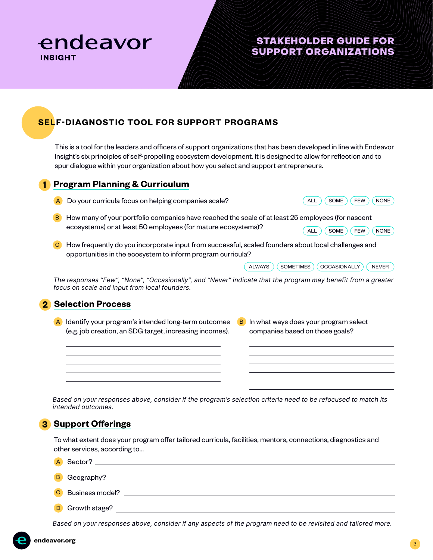

# STAKEHOLDER GUIDE FOR SUPPORT ORGANIZATIONS

# **SELF-DIAGNOSTIC TOOL FOR SUPPORT PROGRAMS**

This is a tool for the leaders and officers of support organizations that has been developed in line with Endeavor Insight's six principles of self-propelling ecosystem development. It is designed to allow for reflection and to spur dialogue within your organization about how you select and support entrepreneurs.

#### **1 Program Planning & Curriculum**

- A Do your curricula focus on helping companies scale?  $\overline{A}$  (ALL)  $\overline{A}$  (SOME)  $\overline{C}$  FEW  $\overline{C}$  NONE
- 
- B How many of your portfolio companies have reached the scale of at least 25 employees (for nascent ecosystems) or at least 50 employees (for mature ecosystems)?  $(ALL)$   $(SOME)$   $(FEW)$   $(NONE)$
- C How frequently do you incorporate input from successful, scaled founders about local challenges and opportunities in the ecosystem to inform program curricula?

| <b>ALWAYS</b> |  | <b>SOMETIMES</b> |  | OCCASIONALLY |  | <b>NFVFR</b> |
|---------------|--|------------------|--|--------------|--|--------------|
|---------------|--|------------------|--|--------------|--|--------------|

The responses "Few", "None", "Occasionally", and "Never" indicate that the program may benefit from a greater focus on scale and input from local founders.

#### **2 Selection Process**

- A Identify your program's intended long-term outcomes B In what ways does your program select (e.g. job creation, an SDG target, increasing incomes).
- companies based on those goals? B In what ways does your program select

Based on your responses above, consider if the program's selection criteria need to be refocused to match its intended outcomes.

## **3 Support Offerings**

To what extent does your program offer tailored curricula, facilities, mentors, connections, diagnostics and other services, according to...

- A Sector? \_\_
- B Geography?
- C Business model?
- D Growth stage?

Based on your responses above, consider if any aspects of the program need to be revisited and tailored more.